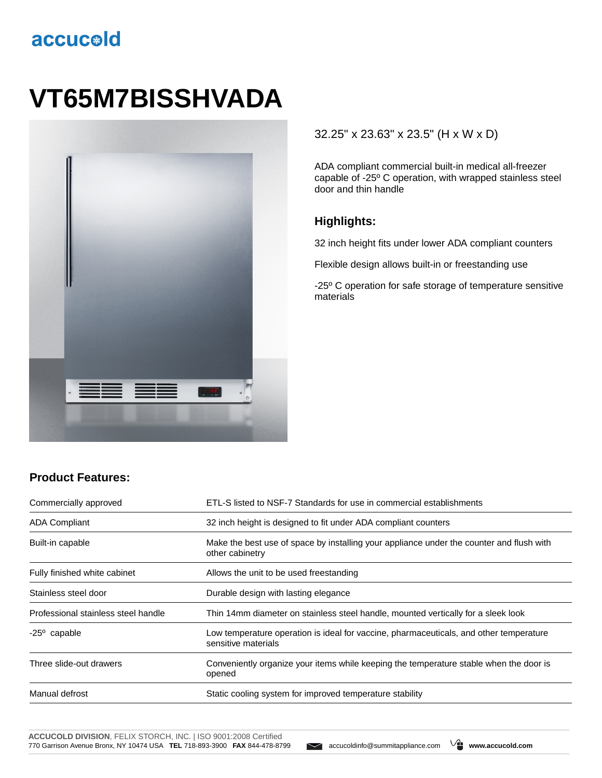## accucold

# **VT65M7BISSHVADA**



#### 32.25" x 23.63" x 23.5" (H x W x D)

ADA compliant commercial built-in medical all-freezer capable of -25º C operation, with wrapped stainless steel door and thin handle

#### **Highlights:**

32 inch height fits under lower ADA compliant counters

Flexible design allows built-in or freestanding use

-25º C operation for safe storage of temperature sensitive materials

### **Product Features:**

| Commercially approved               | ETL-S listed to NSF-7 Standards for use in commercial establishments                                          |  |
|-------------------------------------|---------------------------------------------------------------------------------------------------------------|--|
| <b>ADA Compliant</b>                | 32 inch height is designed to fit under ADA compliant counters                                                |  |
| Built-in capable                    | Make the best use of space by installing your appliance under the counter and flush with<br>other cabinetry   |  |
| Fully finished white cabinet        | Allows the unit to be used freestanding                                                                       |  |
| Stainless steel door                | Durable design with lasting elegance                                                                          |  |
| Professional stainless steel handle | Thin 14mm diameter on stainless steel handle, mounted vertically for a sleek look                             |  |
| $-25^{\circ}$ capable               | Low temperature operation is ideal for vaccine, pharmaceuticals, and other temperature<br>sensitive materials |  |
| Three slide-out drawers             | Conveniently organize your items while keeping the temperature stable when the door is<br>opened              |  |
| Manual defrost                      | Static cooling system for improved temperature stability                                                      |  |

**ACCUCOLD DIVISION**, FELIX STORCH, INC. | ISO 9001:2008 Certified 770 Garrison Avenue Bronx, NY 10474 USA **TEL** 718-893-3900 **FAX** 844-478-8799 accucoldinfo@summitappliance.com **www.accucold.com**